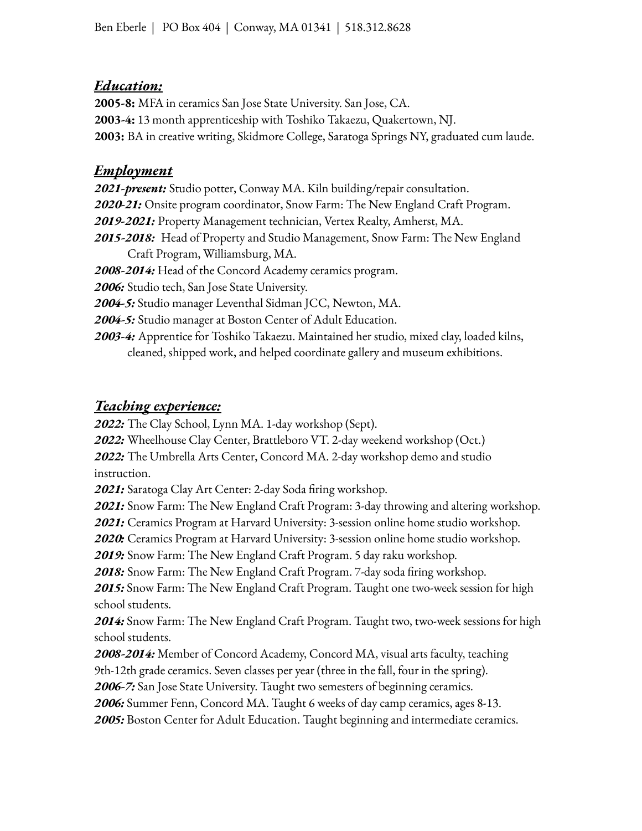### *Education:*

**2005-8:** MFA in ceramics San Jose State University. San Jose, CA. **2003-4:** 13 month apprenticeship with Toshiko Takaezu, Quakertown, NJ. **2003:** BA in creative writing, Skidmore College, Saratoga Springs NY, graduated cum laude.

### *Employment*

*2021-present:* Studio potter, Conway MA. Kiln building/repair consultation. *2020-21:* Onsite program coordinator, Snow Farm: The New England Craft Program. *2019-2021:* Property Management technician, Vertex Realty, Amherst, MA. *2015-2018:* Head of Property and Studio Management, Snow Farm: The New England Craft Program, Williamsburg, MA. *2008-2014:* Head of the Concord Academy ceramics program. *2006:* Studio tech, San Jose State University. *2004-5:* Studio manager Leventhal Sidman JCC, Newton, MA. *2004-5:* Studio manager at Boston Center of Adult Education. *2003-4:* Apprentice for Toshiko Takaezu. Maintained her studio, mixed clay, loaded kilns, cleaned, shipped work, and helped coordinate gallery and museum exhibitions.

## *Teaching experience:*

*2022:* The Clay School, Lynn MA. 1-day workshop (Sept).

*2022:* Wheelhouse Clay Center, Brattleboro VT. 2-day weekend workshop (Oct.)

*2022:* The Umbrella Arts Center, Concord MA. 2-day workshop demo and studio instruction.

*2021:* Saratoga Clay Art Center: 2-day Soda firing workshop.

*2021:* Snow Farm: The New England Craft Program: 3-day throwing and altering workshop.

*2021:* Ceramics Program at Harvard University: 3-session online home studio workshop.

*2020:* Ceramics Program at Harvard University: 3-session online home studio workshop.

*2019:* Snow Farm: The New England Craft Program. 5 day raku workshop.

*2018:* Snow Farm: The New England Craft Program. 7-day soda firing workshop.

*2015:* Snow Farm: The New England Craft Program. Taught one two-week session for high school students.

*2014:* Snow Farm: The New England Craft Program. Taught two, two-week sessions for high school students.

*2008-2014:* Member of Concord Academy, Concord MA, visual arts faculty, teaching 9th-12th grade ceramics. Seven classes per year (three in the fall, four in the spring).

*2006-7:* San Jose State University. Taught two semesters of beginning ceramics.

*2006:* Summer Fenn, Concord MA. Taught 6 weeks of day camp ceramics, ages 8-13.

*2005:* Boston Center for Adult Education. Taught beginning and intermediate ceramics.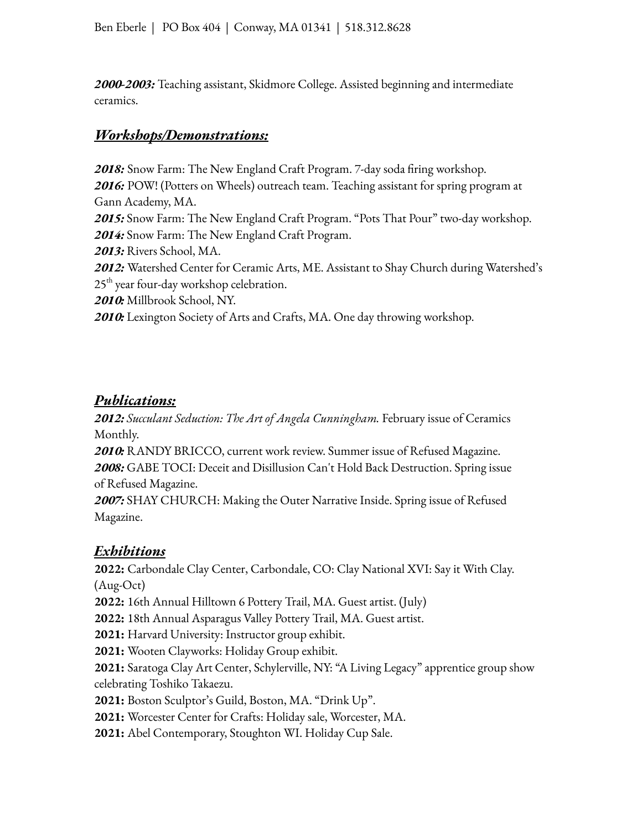*2000-2003:* Teaching assistant, Skidmore College. Assisted beginning and intermediate ceramics.

### *Workshops/Demonstrations:*

*2018:* Snow Farm: The New England Craft Program. 7-day soda firing workshop. *2016:* POW! (Potters on Wheels) outreach team. Teaching assistant for spring program at Gann Academy, MA. *2015:* Snow Farm: The New England Craft Program. "Pots That Pour" two-day workshop. *2014:* Snow Farm: The New England Craft Program. *2013:* Rivers School, MA. *2012:* Watershed Center for Ceramic Arts, ME. Assistant to Shay Church during Watershed's 25<sup>th</sup> year four-day workshop celebration. *2010:* Millbrook School, NY. *2010:* Lexington Society of Arts and Crafts, MA. One day throwing workshop.

## *Publications:*

*2012: Succulant Seduction: The Art of Angela Cunningham.* February issue of Ceramics Monthly.

*2010:* RANDY BRICCO, current work review. Summer issue of Refused Magazine.

*2008:* GABE TOCI: Deceit and Disillusion Can't Hold Back Destruction. Spring issue of Refused Magazine.

*2007:* SHAY CHURCH: Making the Outer Narrative Inside. Spring issue of Refused Magazine.

# *Exhibitions*

**2022:** Carbondale Clay Center, Carbondale, CO: Clay National XVI: Say it With Clay. (Aug-Oct)

**2022:** 16th Annual Hilltown 6 Pottery Trail, MA. Guest artist. (July)

**2022:** 18th Annual Asparagus Valley Pottery Trail, MA. Guest artist.

**2021:** Harvard University: Instructor group exhibit.

**2021:** Wooten Clayworks: Holiday Group exhibit.

**2021:** Saratoga Clay Art Center, Schylerville, NY: "A Living Legacy" apprentice group show celebrating Toshiko Takaezu.

**2021:** Boston Sculptor's Guild, Boston, MA. "Drink Up".

**2021:** Worcester Center for Crafts: Holiday sale, Worcester, MA.

**2021:** Abel Contemporary, Stoughton WI. Holiday Cup Sale.